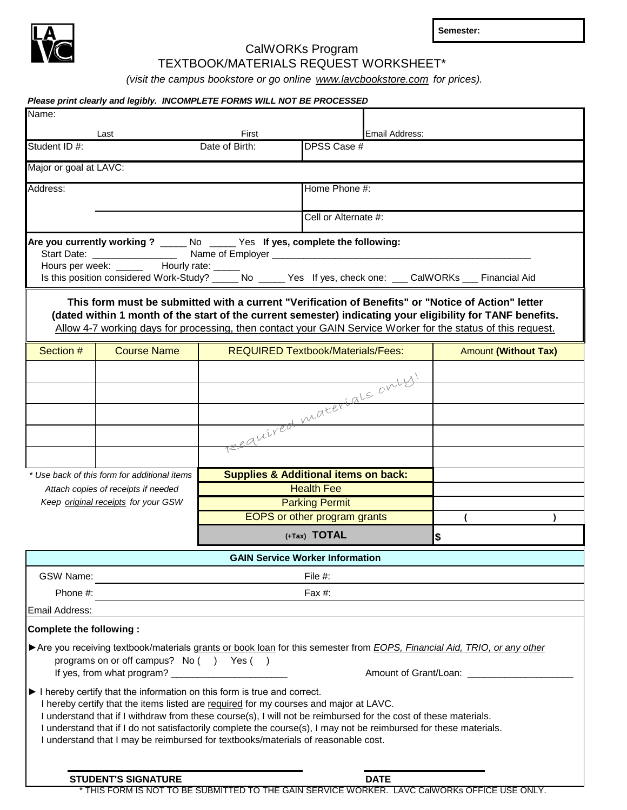

**Semester:**

## CalWORKs Program TEXTBOOK/MATERIALS REQUEST WORKSHEET\*

*(visit the campus bookstore or go online www.lavcbookstore.com for prices).* 

## *Please print clearly and legibly. INCOMPLETE FORMS WILL NOT BE PROCESSED*

| Name:                          |                                                                                                                                                                                                                                                                                                                                                                                                                                                                                               |                                                 |                              |                |                             |  |
|--------------------------------|-----------------------------------------------------------------------------------------------------------------------------------------------------------------------------------------------------------------------------------------------------------------------------------------------------------------------------------------------------------------------------------------------------------------------------------------------------------------------------------------------|-------------------------------------------------|------------------------------|----------------|-----------------------------|--|
|                                | Last                                                                                                                                                                                                                                                                                                                                                                                                                                                                                          | First                                           |                              | Email Address: |                             |  |
| Student ID #:                  |                                                                                                                                                                                                                                                                                                                                                                                                                                                                                               | Date of Birth:                                  | DPSS Case #                  |                |                             |  |
| Major or goal at LAVC:         |                                                                                                                                                                                                                                                                                                                                                                                                                                                                                               |                                                 |                              |                |                             |  |
| Address:                       |                                                                                                                                                                                                                                                                                                                                                                                                                                                                                               |                                                 | Home Phone #:                |                |                             |  |
|                                |                                                                                                                                                                                                                                                                                                                                                                                                                                                                                               |                                                 | Cell or Alternate #:         |                |                             |  |
|                                |                                                                                                                                                                                                                                                                                                                                                                                                                                                                                               |                                                 |                              |                |                             |  |
|                                | Are you currently working ? _____ No _____ Yes If yes, complete the following:<br>Hours per week: ______ Hourly rate: _____<br>Is this position considered Work-Study? _____ No _____ Yes If yes, check one: ___ CalWORKs ___ Financial Aid                                                                                                                                                                                                                                                   |                                                 |                              |                |                             |  |
|                                |                                                                                                                                                                                                                                                                                                                                                                                                                                                                                               |                                                 |                              |                |                             |  |
|                                | This form must be submitted with a current "Verification of Benefits" or "Notice of Action" letter<br>(dated within 1 month of the start of the current semester) indicating your eligibility for TANF benefits.<br>Allow 4-7 working days for processing, then contact your GAIN Service Worker for the status of this request.                                                                                                                                                              |                                                 |                              |                |                             |  |
| Section #                      | <b>Course Name</b>                                                                                                                                                                                                                                                                                                                                                                                                                                                                            | <b>REQUIRED Textbook/Materials/Fees:</b>        |                              |                | <b>Amount (Without Tax)</b> |  |
|                                |                                                                                                                                                                                                                                                                                                                                                                                                                                                                                               |                                                 |                              |                |                             |  |
|                                |                                                                                                                                                                                                                                                                                                                                                                                                                                                                                               | eauired materials only!                         |                              |                |                             |  |
|                                |                                                                                                                                                                                                                                                                                                                                                                                                                                                                                               |                                                 |                              |                |                             |  |
|                                |                                                                                                                                                                                                                                                                                                                                                                                                                                                                                               |                                                 |                              |                |                             |  |
|                                |                                                                                                                                                                                                                                                                                                                                                                                                                                                                                               |                                                 |                              |                |                             |  |
|                                |                                                                                                                                                                                                                                                                                                                                                                                                                                                                                               |                                                 |                              |                |                             |  |
|                                | * Use back of this form for additional items<br>Attach copies of receipts if needed                                                                                                                                                                                                                                                                                                                                                                                                           | <b>Supplies &amp; Additional items on back:</b> | <b>Health Fee</b>            |                |                             |  |
|                                | Keep original receipts for your GSW                                                                                                                                                                                                                                                                                                                                                                                                                                                           |                                                 | <b>Parking Permit</b>        |                |                             |  |
|                                |                                                                                                                                                                                                                                                                                                                                                                                                                                                                                               |                                                 | EOPS or other program grants |                |                             |  |
|                                |                                                                                                                                                                                                                                                                                                                                                                                                                                                                                               |                                                 | (+Tax) TOTAL                 |                | \$                          |  |
|                                |                                                                                                                                                                                                                                                                                                                                                                                                                                                                                               | <b>GAIN Service Worker Information</b>          |                              |                |                             |  |
| <b>GSW Name:</b>               | <u>and the state of the state of the state of the state of the state of the state of the state of the state of the state of the state of the state of the state of the state of the state of the state of the state of the state</u>                                                                                                                                                                                                                                                          |                                                 | File #:                      |                |                             |  |
| Phone #:                       |                                                                                                                                                                                                                                                                                                                                                                                                                                                                                               |                                                 | Fax #:                       |                |                             |  |
| Email Address:                 |                                                                                                                                                                                                                                                                                                                                                                                                                                                                                               |                                                 |                              |                |                             |  |
| <b>Complete the following:</b> |                                                                                                                                                                                                                                                                                                                                                                                                                                                                                               |                                                 |                              |                |                             |  |
|                                | The you receiving textbook/materials grants or book loan for this semester from EOPS, Financial Aid, TRIO, or any other<br>programs on or off campus? No () Yes ()                                                                                                                                                                                                                                                                                                                            |                                                 |                              |                |                             |  |
|                                |                                                                                                                                                                                                                                                                                                                                                                                                                                                                                               |                                                 |                              |                | Amount of Grant/Loan:       |  |
|                                | I hereby certify that the information on this form is true and correct.<br>I hereby certify that the items listed are required for my courses and major at LAVC.<br>I understand that if I withdraw from these course(s), I will not be reimbursed for the cost of these materials.<br>I understand that if I do not satisfactorily complete the course(s), I may not be reimbursed for these materials.<br>I understand that I may be reimbursed for textbooks/materials of reasonable cost. |                                                 |                              |                |                             |  |
|                                |                                                                                                                                                                                                                                                                                                                                                                                                                                                                                               |                                                 |                              |                |                             |  |
|                                | <b>STUDENT'S SIGNATURE</b><br>* THIS FORM IS NOT TO BE SUBMITTED TO THE GAIN SERVICE WORKER. LAVC CalWORKs OFFICE USE ONLY.                                                                                                                                                                                                                                                                                                                                                                   |                                                 |                              | <b>DATE</b>    |                             |  |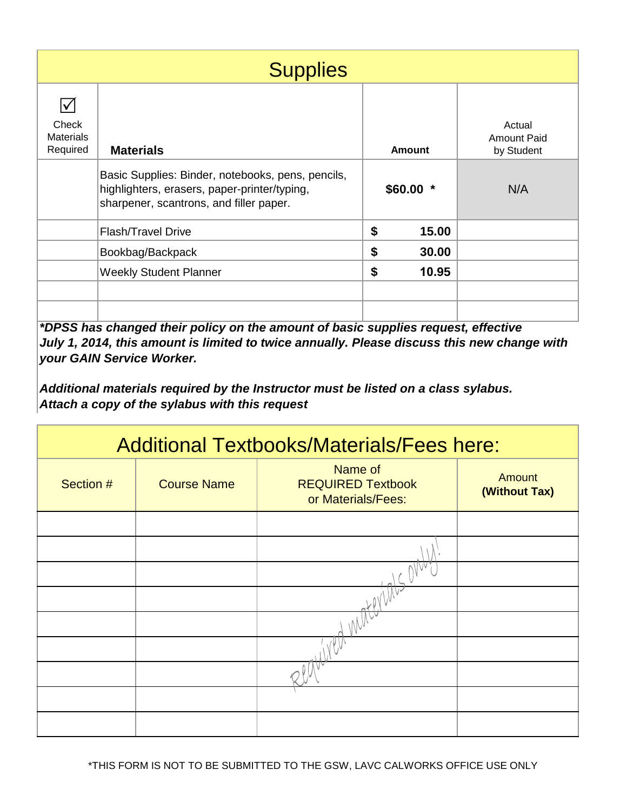|                                                               | <b>Supplies</b>                                                                                                                              |           |        |                                     |
|---------------------------------------------------------------|----------------------------------------------------------------------------------------------------------------------------------------------|-----------|--------|-------------------------------------|
| $\blacktriangledown$<br>Check<br><b>Materials</b><br>Required | <b>Materials</b>                                                                                                                             |           | Amount | Actual<br>Amount Paid<br>by Student |
|                                                               | Basic Supplies: Binder, notebooks, pens, pencils,<br>highlighters, erasers, paper-printer/typing,<br>sharpener, scantrons, and filler paper. | $$60.00*$ |        | N/A                                 |
|                                                               | <b>Flash/Travel Drive</b>                                                                                                                    | \$        | 15.00  |                                     |
|                                                               | Bookbag/Backpack                                                                                                                             | \$        | 30.00  |                                     |
|                                                               | <b>Weekly Student Planner</b>                                                                                                                | \$        | 10.95  |                                     |
|                                                               |                                                                                                                                              |           |        |                                     |
|                                                               |                                                                                                                                              |           |        |                                     |

*\*DPSS has changed their policy on the amount of basic supplies request, effective July 1, 2014, this amount is limited to twice annually. Please discuss this new change with your GAIN Service Worker.*

*Additional materials required by the Instructor must be listed on a class sylabus. Attach a copy of the sylabus with this request*

| <b>Additional Textbooks/Materials/Fees here:</b> |                    |                                                           |                                |  |
|--------------------------------------------------|--------------------|-----------------------------------------------------------|--------------------------------|--|
| Section #                                        | <b>Course Name</b> | Name of<br><b>REQUIRED Textbook</b><br>or Materials/Fees: | <b>Amount</b><br>(Without Tax) |  |
|                                                  |                    |                                                           |                                |  |
|                                                  |                    |                                                           |                                |  |
|                                                  |                    |                                                           |                                |  |
|                                                  |                    |                                                           |                                |  |
|                                                  |                    |                                                           |                                |  |
|                                                  |                    |                                                           |                                |  |
|                                                  |                    |                                                           |                                |  |
|                                                  |                    |                                                           |                                |  |
|                                                  |                    |                                                           |                                |  |

\*THIS FORM IS NOT TO BE SUBMITTED TO THE GSW, LAVC CALWORKS OFFICE USE ONLY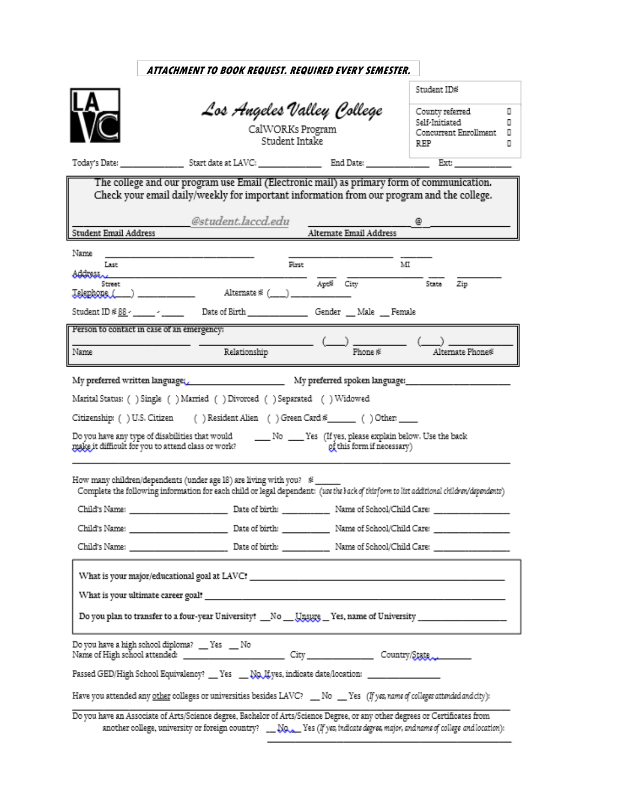|                                                    | ATTACHMENT TO BOOK REQUEST. REQUIRED EVERY SEMESTER.                                                                                                                                                                |                            |                                                                                                                                                                                                                                                                                                                                                                                                                                                                                 |   |
|----------------------------------------------------|---------------------------------------------------------------------------------------------------------------------------------------------------------------------------------------------------------------------|----------------------------|---------------------------------------------------------------------------------------------------------------------------------------------------------------------------------------------------------------------------------------------------------------------------------------------------------------------------------------------------------------------------------------------------------------------------------------------------------------------------------|---|
|                                                    |                                                                                                                                                                                                                     |                            | Student ID#                                                                                                                                                                                                                                                                                                                                                                                                                                                                     |   |
|                                                    | Los Angeles Valley College                                                                                                                                                                                          |                            | County referred                                                                                                                                                                                                                                                                                                                                                                                                                                                                 | о |
|                                                    |                                                                                                                                                                                                                     |                            | Self-Initiated                                                                                                                                                                                                                                                                                                                                                                                                                                                                  | o |
|                                                    | CalWORKs Program<br>Student Intake                                                                                                                                                                                  |                            | Concurrent Enrollment<br>REP<br>о                                                                                                                                                                                                                                                                                                                                                                                                                                               | o |
|                                                    |                                                                                                                                                                                                                     |                            |                                                                                                                                                                                                                                                                                                                                                                                                                                                                                 |   |
|                                                    |                                                                                                                                                                                                                     |                            |                                                                                                                                                                                                                                                                                                                                                                                                                                                                                 |   |
|                                                    | The college and our program use Email (Electronic mail) as primary form of communication.<br>Check your email daily/weekly for important information from our program and the college.                              |                            |                                                                                                                                                                                                                                                                                                                                                                                                                                                                                 |   |
|                                                    | @student.laccd.edu                                                                                                                                                                                                  |                            |                                                                                                                                                                                                                                                                                                                                                                                                                                                                                 |   |
| Student Email Address                              |                                                                                                                                                                                                                     | Alternate Email Address    |                                                                                                                                                                                                                                                                                                                                                                                                                                                                                 |   |
| Name                                               |                                                                                                                                                                                                                     |                            |                                                                                                                                                                                                                                                                                                                                                                                                                                                                                 |   |
| Last<br>Address                                    | First                                                                                                                                                                                                               |                            | м                                                                                                                                                                                                                                                                                                                                                                                                                                                                               |   |
| Street                                             | Telephone (___) ______________ Alternate # (___) ________                                                                                                                                                           | Apt <sup>2</sup> City      | $\overline{\text{State}}$ $\overline{\text{Zip}}$                                                                                                                                                                                                                                                                                                                                                                                                                               |   |
|                                                    | Student ID #88 - ____ - _____ Date of Birth ________________ Gender ___ Male ___ Female                                                                                                                             |                            |                                                                                                                                                                                                                                                                                                                                                                                                                                                                                 |   |
| Person to contact in case of an emergency:         |                                                                                                                                                                                                                     |                            |                                                                                                                                                                                                                                                                                                                                                                                                                                                                                 |   |
| Name                                               | Relationship                                                                                                                                                                                                        |                            | $\overline{\phantom{a}}$ $\overline{\phantom{a}}$ $\overline{\phantom{a}}$ $\overline{\phantom{a}}$ $\overline{\phantom{a}}$ $\overline{\phantom{a}}$ $\overline{\phantom{a}}$ $\overline{\phantom{a}}$ $\overline{\phantom{a}}$ $\overline{\phantom{a}}$ $\overline{\phantom{a}}$ $\overline{\phantom{a}}$ $\overline{\phantom{a}}$ $\overline{\phantom{a}}$ $\overline{\phantom{a}}$ $\overline{\phantom{a}}$ $\overline{\phantom{a}}$ $\overline{\phantom{a}}$ $\overline{\$ |   |
|                                                    | Marital Status: ( ) Single ( ) Married ( ) Divorced ( ) Separated ( ) Widowed<br>Citizenship: () U.S. Citizen () Resident Alien () Green Card *_____ () Other: ____                                                 |                            |                                                                                                                                                                                                                                                                                                                                                                                                                                                                                 |   |
| make it difficult for you to attend class or work? |                                                                                                                                                                                                                     | of this form if necessary) |                                                                                                                                                                                                                                                                                                                                                                                                                                                                                 |   |
|                                                    | How many children/dependents (under age 18) are living with you? #_____<br>Complete the following information for each child or legal dependent: (use the back of this form to list additional children/dependents) |                            |                                                                                                                                                                                                                                                                                                                                                                                                                                                                                 |   |
|                                                    |                                                                                                                                                                                                                     |                            |                                                                                                                                                                                                                                                                                                                                                                                                                                                                                 |   |
|                                                    |                                                                                                                                                                                                                     |                            |                                                                                                                                                                                                                                                                                                                                                                                                                                                                                 |   |
|                                                    |                                                                                                                                                                                                                     |                            |                                                                                                                                                                                                                                                                                                                                                                                                                                                                                 |   |
|                                                    |                                                                                                                                                                                                                     |                            |                                                                                                                                                                                                                                                                                                                                                                                                                                                                                 |   |
|                                                    |                                                                                                                                                                                                                     |                            |                                                                                                                                                                                                                                                                                                                                                                                                                                                                                 |   |
|                                                    | Do you plan to transfer to a four-year University? __No __Unsurg __ Yes, name of University __________________                                                                                                      |                            |                                                                                                                                                                                                                                                                                                                                                                                                                                                                                 |   |
|                                                    | Do you have a high school diploma? __ Yes __ No                                                                                                                                                                     |                            |                                                                                                                                                                                                                                                                                                                                                                                                                                                                                 |   |
|                                                    | Passed GED/High School Equivalency? __ Yes ___ No, If yes, indicate date/location: ________________                                                                                                                 |                            |                                                                                                                                                                                                                                                                                                                                                                                                                                                                                 |   |
|                                                    | Have you attended any other colleges or universities besides LAVC? __ No __ Yes (If yes, name of colleges attended and city):                                                                                       |                            |                                                                                                                                                                                                                                                                                                                                                                                                                                                                                 |   |